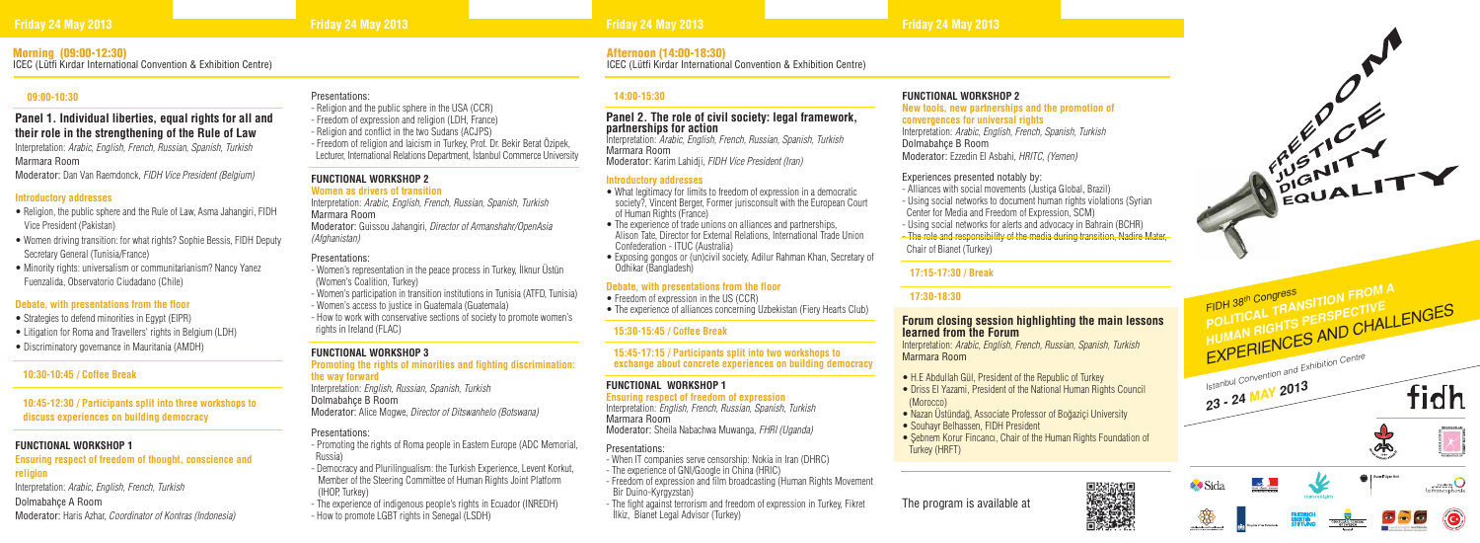# **FUNCTIONAL WORKSHOP 2**

**New tools, new partnerships and the promotion of convergences for universal rights** Interpretation: *Arabic, English, French, Spanish, Turkish*

Dolmabahçe B Room Moderator: Ezzedin El Asbahi*, HRITC, (Yemen)*

# Experiences presented notably by:

- Alliances with social movements (Justiça Global, Brazil)
- Using social networks to document human rights violations (Syrian Center for Media and Freedom of Expression, SCM)
- Using social networks for alerts and advocacy in Bahrain (BCHR)
- The role and responsibility of the media during transition, Nadire Mater, Chair of Bianet (Turkey)

- H.E Abdullah Gül, President of the Republic of Turkey
- Driss El Yazami, President of the National Human Rights Council (Morocco)
- Nazan Üstündağ, Associate Professor of Boğaziçi University
- Souhayr Belhassen, FIDH President
- Şebnem Korur Fincancı, Chair of the Human Rights Foundation of Turkey (HRFT)

# **17:15-17:30 / Break**

# **17:30-18:30**

# **Forum closing session highlighting the main lessons learned from the Forum**

Interpretation: *Arabic, English, French, Russian, Spanish, Turkish* Marmara Room

- What legitimacy for limits to freedom of expression in a democratic society?, Vincent Berger, Former jurisconsult with the European Court of Human Rights (France)
- The experience of trade unions on alliances and partnerships. Alison Tate, Director for External Relations, International Trade Union Confederation - ITUC (Australia)
- Exposing gongos or (un)civil society, Adilur Rahman Khan, Secretary of Odhikar (Bangladesh)

# **14:00-15:30**

# **Panel 2. The role of civil society: legal framework, partnerships for action**

Interpretation: *Arabic, English, French, Russian, Spanish, Turkish* Marmara Room Moderator: Karim Lahidji, *FIDH Vice President (Iran)*

## **Introductory addresses**

# **Debate, with presentations from the floor**

- Freedom of expression in the US (CCR)
- The experience of alliances concerning Uzbekistan (Fiery Hearts Club)

# **15:30-15:45 / Coffee Break**

 **15:45-17:15 / Participants split into two workshops to exchange about concrete experiences on building democracy**

# **FUNCTIONAL WORKSHOP 1**

**Ensuring respect of freedom of expression** Interpretation: *English, French, Russian, Spanish, Turkish* Marmara Room Moderator: Sheila Nabachwa Muwanga, *FHRI (Uganda)*

# Presentations:

- Religion, the public sphere and the Rule of Law, Asma Jahangiri, FIDH Vice President (Pakistan)
- Women driving transition: for what rights? Sophie Bessis, FIDH Deputy Secretary General (Tunisia/France)
- Minority rights: universalism or communitarianism? Nancy Yanez Fuenzalida, Observatorio Ciudadano (Chile)

- When IT companies serve censorship: Nokia in Iran (DHRC)
- The experience of GNI/Google in China (HRIC)
- Freedom of expression and film broadcasting (Human Rights Movement Bir Duino-Kyrgyzstan)
- The fight against terrorism and freedom of expression in Turkey, Fikret İlkiz, Bianet Legal Advisor (Turkey)

# Presentations:

- Religion and the public sphere in the USA (CCR)
- Freedom of expression and religion (LDH, France)
- Religion and conflict in the two Sudans (ACJPS)
- Freedom of religion and laicism in Turkey, Prof. Dr. Bekir Berat Özipek, Lecturer, International Relations Department, İstanbul Commerce University

# **FUNCTIONAL WORKSHOP 2**

# **Women as drivers of transition**

Interpretation: *Arabic, English, French, Russian, Spanish, Turkish* Marmara Room

Moderator: Guissou Jahangiri, *Director of Armanshahr/OpenAsia (Afghanistan)*

# Presentations:

- Women's representation in the peace process in Turkey, İlknur Üstün (Women's Coalition, Turkey)
- Women's participation in transition institutions in Tunisia (ATFD, Tunisia)
- Women's access to justice in Guatemala (Guatemala)
- How to work with conservative sections of society to promote women's rights in Ireland (FLAC)

# **FUNCTIONAL WORKSHOP 3**

### **Promoting the rights of minorities and fighting discrimination: the way forward**

Interpretation: *English, Russian, Spanish, Turkish*

Dolmabahçe B Room

Moderator: Alice Mogwe, *Director of Ditswanhelo (Botswana)*

# Presentations:

- Promoting the rights of Roma people in Eastern Europe (ADC Memorial, Russia)
- Democracy and Plurilingualism: the Turkish Experience, Levent Korkut, Member of the Steering Committee of Human Rights Joint Platform (IHOP, Turkey)
- The experience of indigenous people's rights in Ecuador (INREDH)
- How to promote LGBT rights in Senegal (LSDH)

# **09:00-10:30**

# **Panel 1. Individual liberties, equal rights for all and their role in the strengthening of the Rule of Law**

Interpretation: *Arabic, English, French, Russian, Spanish, Turkish* Marmara Room

Moderator: Dan Van Raemdonck, *FIDH Vice President (Belgium)*

# **Introductory addresses**

# **Debate, with presentations from the floor**

- Strategies to defend minorities in Egypt (EIPR)
- Litigation for Roma and Travellers' rights in Belgium (LDH)
- Discriminatory governance in Mauritania (AMDH)

# **10:30-10:45 / Coffee Break**

 **10:45-12:30 / Participants split into three workshops to discuss experiences on building democracy**

# **FUNCTIONAL WORKSHOP 1**

# **Ensuring respect of freedom of thought, conscience and religion**

Interpretation: *Arabic, English, French, Turkish*

Dolmabahçe A Room

Moderator: Haris Azhar, *Coordinator of Kontras (Indonesia)*







# Morning (09:00-12:30)

ICEC (Lütfi Kırdar International Convention & Exhibition Centre)

# Afternoon (14:00-18:30)

ICEC (Lütfi Kırdar International Convention & Exhibition Centre)